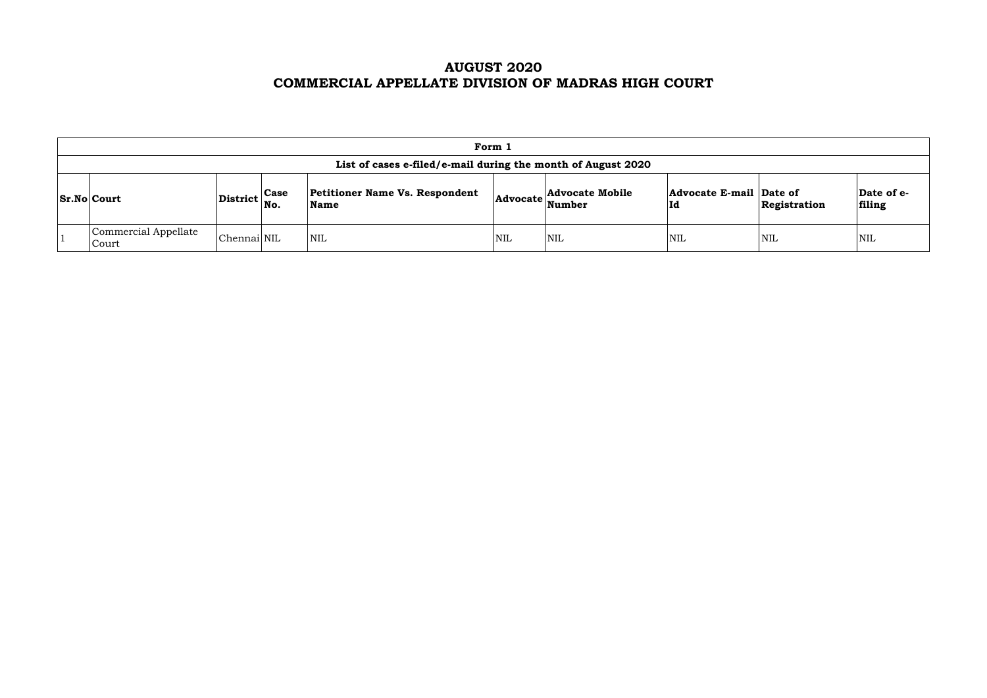## **AUGUST 2020 COMMERCIAL APPELLATE DIVISION OF MADRAS HIGH COURT**

|                                                                                                                                                                                                                            | Form 1                                                       |             |            |            |            |            |                      |            |  |  |  |  |
|----------------------------------------------------------------------------------------------------------------------------------------------------------------------------------------------------------------------------|--------------------------------------------------------------|-------------|------------|------------|------------|------------|----------------------|------------|--|--|--|--|
|                                                                                                                                                                                                                            | List of cases e-filed/e-mail during the month of August 2020 |             |            |            |            |            |                      |            |  |  |  |  |
| <b>Petitioner Name Vs. Respondent</b><br>Advocate E-mail Date of<br><b>Advocate Mobile</b><br>$ \text{District} ^{\text{Case}}_{\text{No.}}$<br>$ Sr.No $ Court<br><b>Advocate</b><br>Name<br>Number<br>Id<br>Registration |                                                              |             |            |            |            |            | Date of e-<br>filing |            |  |  |  |  |
|                                                                                                                                                                                                                            | Commercial Appellate<br>Court                                | Chennai NIL | <b>NIL</b> | <b>NIL</b> | <b>NIL</b> | <b>NIL</b> | <b>NIL</b>           | <b>NIL</b> |  |  |  |  |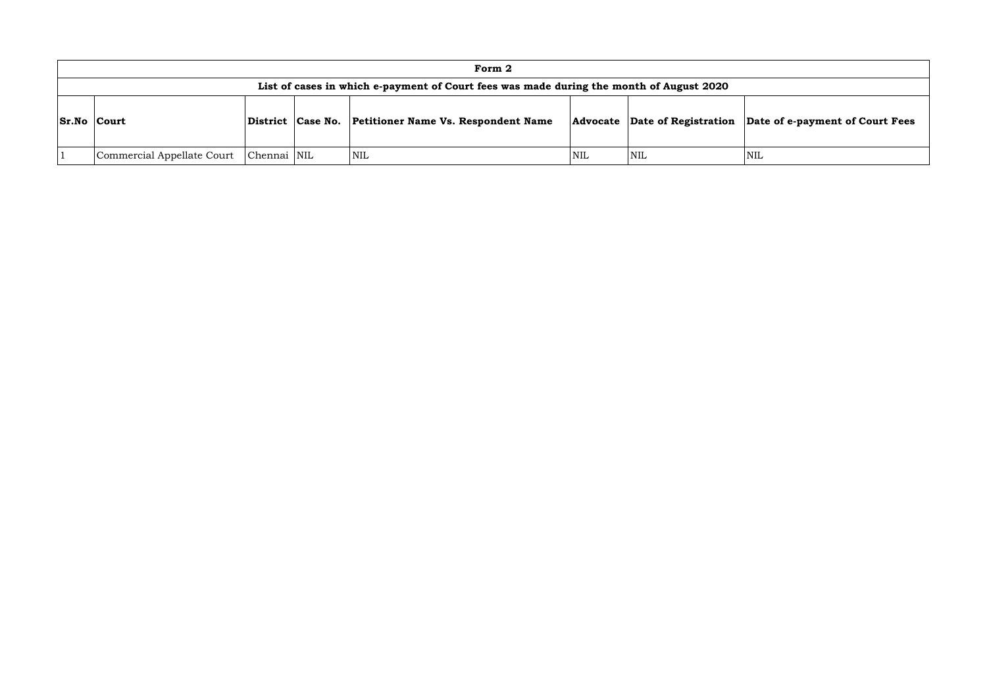|                    | Form 2                                                                                  |             |                   |                                            |      |                                      |            |  |  |  |  |  |
|--------------------|-----------------------------------------------------------------------------------------|-------------|-------------------|--------------------------------------------|------|--------------------------------------|------------|--|--|--|--|--|
|                    | List of cases in which e-payment of Court fees was made during the month of August 2020 |             |                   |                                            |      |                                      |            |  |  |  |  |  |
| <b>Sr.No Court</b> |                                                                                         |             | District Case No. | <b>Petitioner Name Vs. Respondent Name</b> |      | <b>Advocate</b> Date of Registration | Dat        |  |  |  |  |  |
|                    | Commercial Appellate Court                                                              | Chennai NIL |                   | <b>NIL</b>                                 | NIL. | <b>NIL</b>                           | <b>NIL</b> |  |  |  |  |  |

### **Date of e-payment of Court Fees**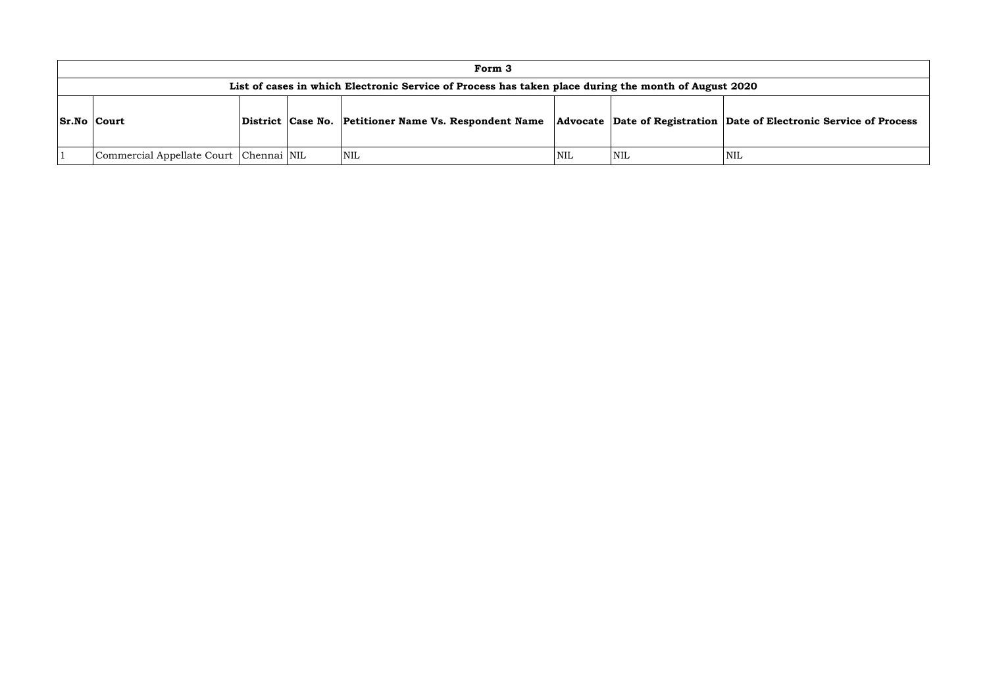|                    | Form 3                                                                                               |  |  |                                                                                             |     |     |      |  |  |  |  |  |
|--------------------|------------------------------------------------------------------------------------------------------|--|--|---------------------------------------------------------------------------------------------|-----|-----|------|--|--|--|--|--|
|                    | List of cases in which Electronic Service of Process has taken place during the month of August 2020 |  |  |                                                                                             |     |     |      |  |  |  |  |  |
| <b>Sr.No Court</b> |                                                                                                      |  |  | District Case No. Petitioner Name Vs. Respondent Name Advocate Date of Registration Date of |     |     |      |  |  |  |  |  |
|                    | Commercial Appellate Court   Chennai   NIL                                                           |  |  | NIL                                                                                         | NIL | NIL | 'NIL |  |  |  |  |  |

### **Combinding Contains Conservice of Process**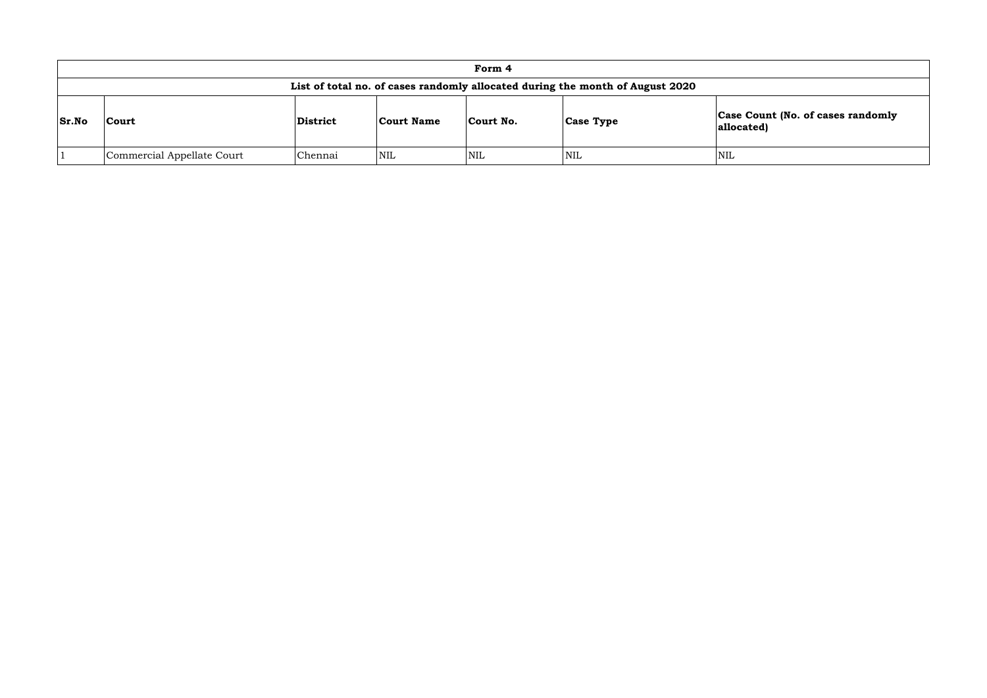### **Count (No. of cases randomly allocated)**

|       | Form 4                                                                        |          |                   |           |                  |                              |  |  |  |  |  |  |
|-------|-------------------------------------------------------------------------------|----------|-------------------|-----------|------------------|------------------------------|--|--|--|--|--|--|
|       | List of total no. of cases randomly allocated during the month of August 2020 |          |                   |           |                  |                              |  |  |  |  |  |  |
| Sr.No | <b>Court</b>                                                                  | District | <b>Court Name</b> | Court No. | <b>Case Type</b> | <b>Case Cou</b><br>allocated |  |  |  |  |  |  |
|       | Commercial Appellate Court                                                    | Chennai  | <b>NIL</b>        | NIL       | <b>NIL</b>       | NIL                          |  |  |  |  |  |  |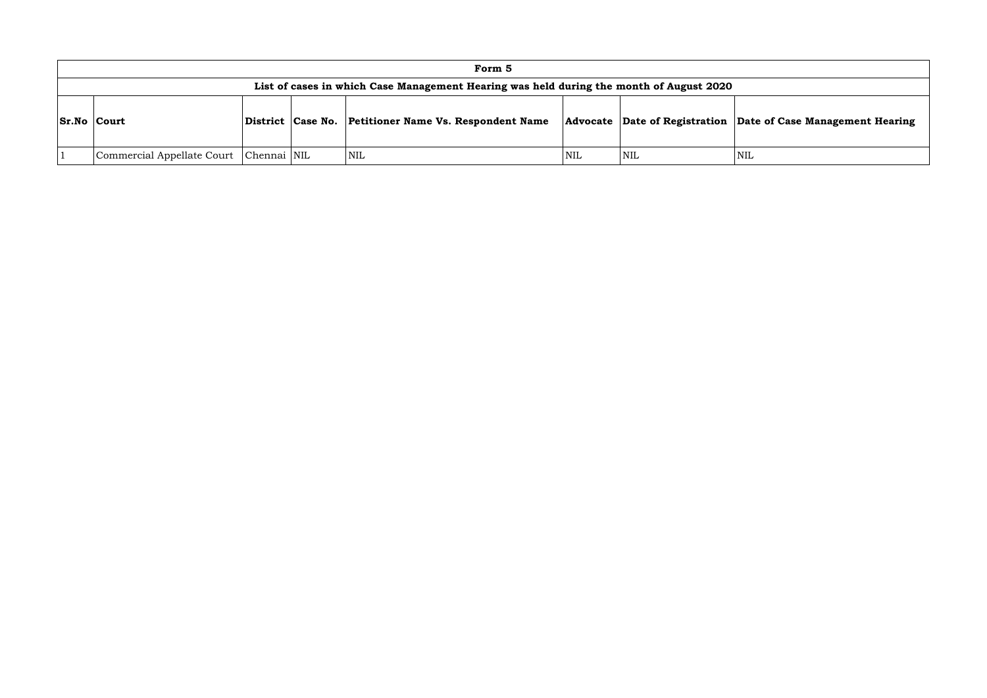|                    | Form 5                                                                                  |  |  |                                                       |                         |                                    |     |  |  |  |  |  |
|--------------------|-----------------------------------------------------------------------------------------|--|--|-------------------------------------------------------|-------------------------|------------------------------------|-----|--|--|--|--|--|
|                    | List of cases in which Case Management Hearing was held during the month of August 2020 |  |  |                                                       |                         |                                    |     |  |  |  |  |  |
| <b>Sr.No Court</b> |                                                                                         |  |  | District Case No. Petitioner Name Vs. Respondent Name |                         | Advocate Date of Registration Date |     |  |  |  |  |  |
|                    | Commercial Appellate Court   Chennai   NIL                                              |  |  | <b>NIL</b>                                            | $\overline{\text{NIL}}$ | <b>NIL</b>                         | NIL |  |  |  |  |  |

### **Sr.No Court District Case No. Petitioner Name Vs. Respondent Name Advocate Date of Registration Date of Case Management Hearing**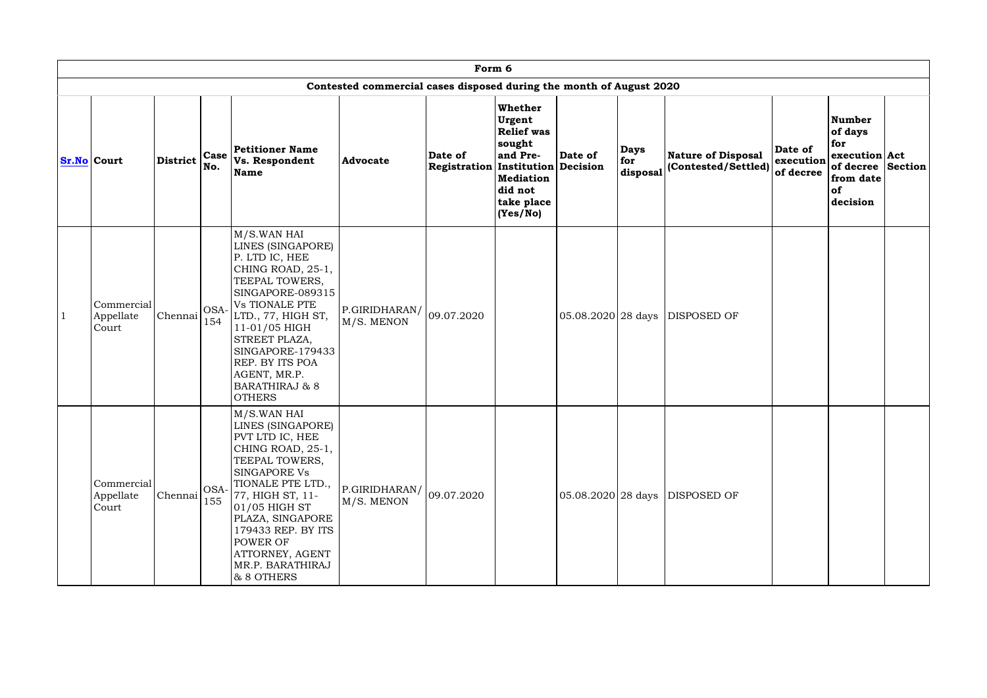| Form 6                           |          |             |                                                                                                                                                                                                                                                                                                            |                                                                     |                                                  |                                                                                                                              |                       |                                |                                                  |                                   |                                                                                               |  |
|----------------------------------|----------|-------------|------------------------------------------------------------------------------------------------------------------------------------------------------------------------------------------------------------------------------------------------------------------------------------------------------------|---------------------------------------------------------------------|--------------------------------------------------|------------------------------------------------------------------------------------------------------------------------------|-----------------------|--------------------------------|--------------------------------------------------|-----------------------------------|-----------------------------------------------------------------------------------------------|--|
|                                  |          |             |                                                                                                                                                                                                                                                                                                            | Contested commercial cases disposed during the month of August 2020 |                                                  |                                                                                                                              |                       |                                |                                                  |                                   |                                                                                               |  |
| <b>Sr.No</b> Court               | District | Case<br>No. | <b>Petitioner Name</b><br>Vs. Respondent<br>Name                                                                                                                                                                                                                                                           | <b>Advocate</b>                                                     | Date of<br>Registration   Institution   Decision | <b>Whether</b><br>Urgent<br><b>Relief was</b><br>sought<br>and Pre-<br><b>Mediation</b><br>did not<br>take place<br>(Yes/No) | Date of               | <b>Days</b><br>for<br>disposal | <b>Nature of Disposal</b><br>(Contested/Settled) | Date of<br>execution<br>of decree | Number<br>of days<br>for<br>execution Act<br>of decree Section<br>from date<br>of<br>decision |  |
| Commercial<br>Appellate<br>Court | Chennai  | OSA-<br>154 | M/S.WAN HAI<br>LINES (SINGAPORE)<br>P. LTD IC, HEE<br>CHING ROAD, 25-1,<br>TEEPAL TOWERS,<br>SINGAPORE-089315<br><b>Vs TIONALE PTE</b><br>LTD., 77, HIGH ST,<br>11-01/05 HIGH<br>STREET PLAZA,<br>SINGAPORE-179433<br><b>REP. BY ITS POA</b><br>AGENT, MR.P.<br><b>BARATHIRAJ &amp; 8</b><br><b>OTHERS</b> | $\left \text{P.GIRIDHARAN}/\right $ 09.07.2020<br>M/S. MENON        |                                                  |                                                                                                                              | $ 05.08.2020 28$ days |                                | DISPOSED OF                                      |                                   |                                                                                               |  |
| Commercial<br>Appellate<br>Court | Chennai  | OSA-<br>155 | M/S.WAN HAI<br>LINES (SINGAPORE)<br>PVT LTD IC, HEE<br>CHING ROAD, 25-1,<br>TEEPAL TOWERS,<br><b>SINGAPORE Vs</b><br>TIONALE PTE LTD.,<br>77, HIGH ST, 11-<br>$01/05$ HIGH ST<br>PLAZA, SINGAPORE<br>179433 REP. BY ITS<br><b>POWER OF</b><br>ATTORNEY, AGENT<br>MR.P. BARATHIRAJ<br>& 8 OTHERS            | $ P.GIRIDHARAN $ 09.07.2020<br>M/S. MENON                           |                                                  |                                                                                                                              | $ 05.08.2020 28$ days |                                | DISPOSED OF                                      |                                   |                                                                                               |  |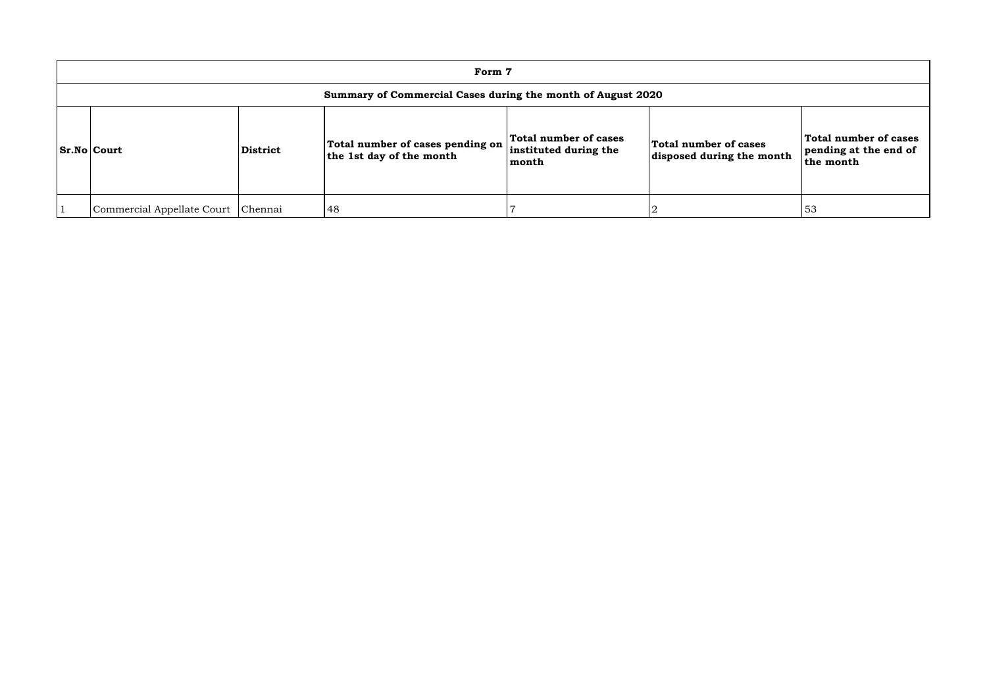| Form 7                                                      |                 |                                                              |                                                         |                                                    |                              |  |  |  |  |  |  |
|-------------------------------------------------------------|-----------------|--------------------------------------------------------------|---------------------------------------------------------|----------------------------------------------------|------------------------------|--|--|--|--|--|--|
| Summary of Commercial Cases during the month of August 2020 |                 |                                                              |                                                         |                                                    |                              |  |  |  |  |  |  |
| <b>Sr.No Court</b>                                          | <b>District</b> | Total number of cases pending on<br>the 1st day of the month | Total number of cases<br>instituted during the<br>month | Total number of cases<br>disposed during the month | To<br> pe<br><sup>1</sup> th |  |  |  |  |  |  |
| Commercial Appellate Court                                  | Chennai         | 48                                                           |                                                         |                                                    | 53                           |  |  |  |  |  |  |

| ases<br><b>ne month</b> | <b>Total number of cases</b><br>pending at the end of<br>the month |
|-------------------------|--------------------------------------------------------------------|
|                         |                                                                    |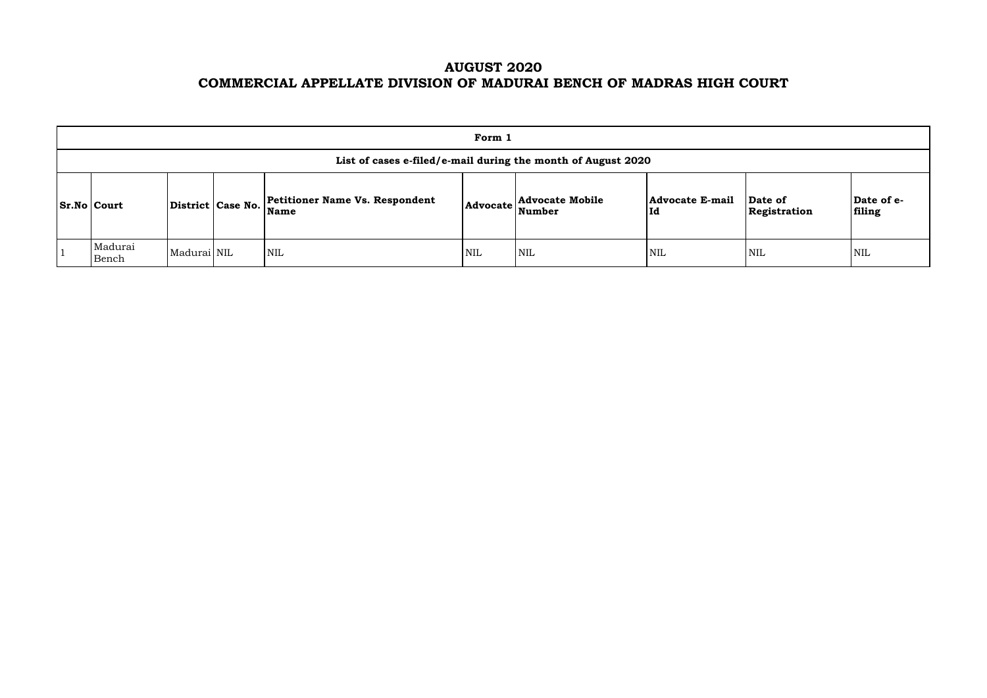# **AUGUST 2020 COMMERCIAL APPELLATE DIVISION OF MADURAI BENCH OF MADRAS HIGH COURT**

| Form 1                                                                                                                                                                                                                               |             |  |            |            |            |            |            |            |  |  |  |  |
|--------------------------------------------------------------------------------------------------------------------------------------------------------------------------------------------------------------------------------------|-------------|--|------------|------------|------------|------------|------------|------------|--|--|--|--|
| List of cases e-filed/e-mail during the month of August 2020                                                                                                                                                                         |             |  |            |            |            |            |            |            |  |  |  |  |
| Date of e-<br><b>Petitioner Name Vs. Respondent</b><br><b>Advocate Mobile</b><br><b>Advocate E-mail</b><br>Date of<br>District   Case No.  <br>$ Sr.No $ Court<br><b>Advocate</b><br>filing<br>Number<br> Id<br>Name<br>Registration |             |  |            |            |            |            |            |            |  |  |  |  |
| Madurai<br>Bench                                                                                                                                                                                                                     | Madurai NIL |  | <b>NIL</b> | <b>NIL</b> | <b>NIL</b> | <b>NIL</b> | <b>NIL</b> | <b>NIL</b> |  |  |  |  |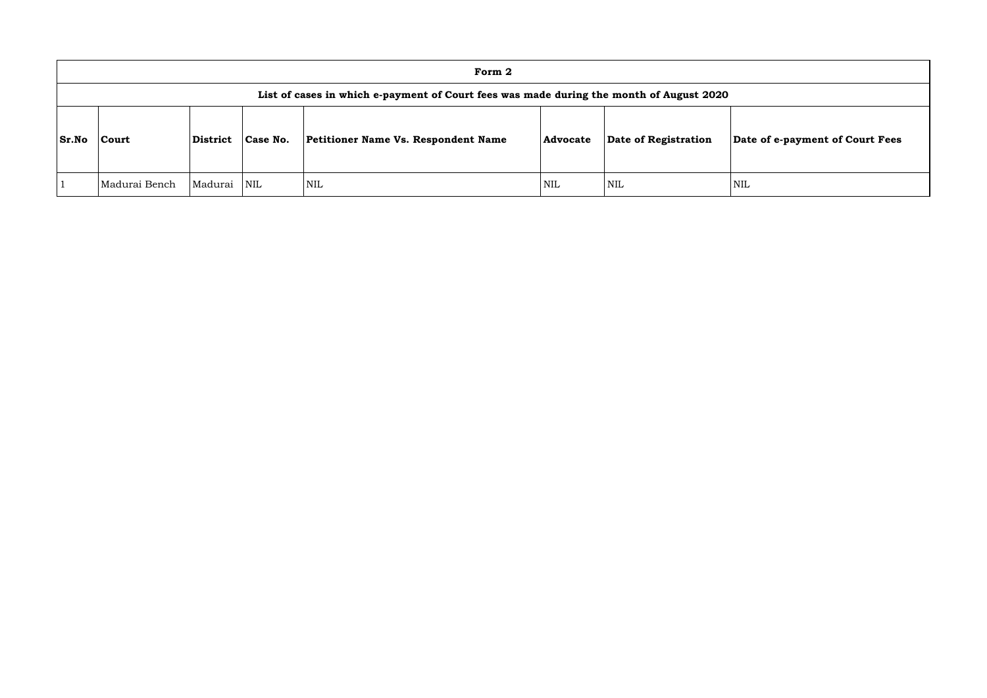|              | Form 2                                                                                  |          |            |                                            |                 |                      |            |  |  |  |  |  |
|--------------|-----------------------------------------------------------------------------------------|----------|------------|--------------------------------------------|-----------------|----------------------|------------|--|--|--|--|--|
|              | List of cases in which e-payment of Court fees was made during the month of August 2020 |          |            |                                            |                 |                      |            |  |  |  |  |  |
| <b>Sr.No</b> | Court                                                                                   | District | Case No.   | <b>Petitioner Name Vs. Respondent Name</b> | <b>Advocate</b> | Date of Registration | Dat        |  |  |  |  |  |
|              | Madurai Bench                                                                           | Madurai  | <b>NIL</b> | <b>NIL</b>                                 | NIL             | <b>NIL</b>           | <b>NIL</b> |  |  |  |  |  |

### **Sr.No Court District Case No. Petitioner Name Vs. Respondent Name Advocate Date of Registration Date of e-payment of Court Fees**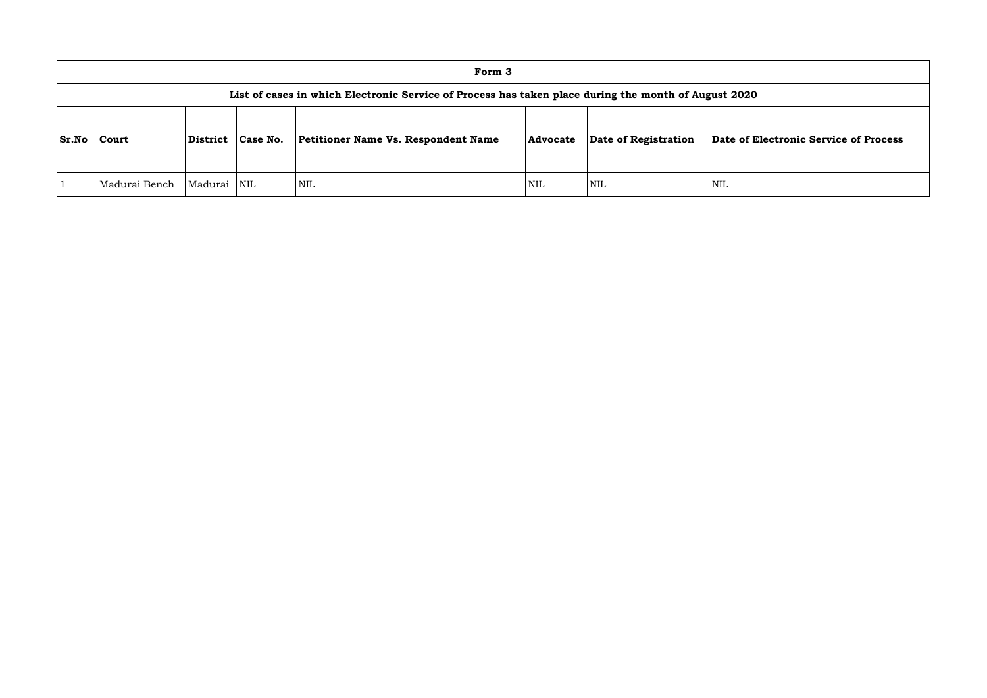|              | Form 3                                                                                               |              |          |                                            |          |                      |                  |  |  |  |  |  |
|--------------|------------------------------------------------------------------------------------------------------|--------------|----------|--------------------------------------------|----------|----------------------|------------------|--|--|--|--|--|
|              | List of cases in which Electronic Service of Process has taken place during the month of August 2020 |              |          |                                            |          |                      |                  |  |  |  |  |  |
| <b>Sr.No</b> | Court                                                                                                | District     | Case No. | <b>Petitioner Name Vs. Respondent Name</b> | Advocate | Date of Registration | Date of <b>H</b> |  |  |  |  |  |
|              | Madurai Bench                                                                                        | Madurai  NIL |          | <b>NIL</b>                                 | NIL      | NIL                  | NIL              |  |  |  |  |  |

**Sr.No Court District Case No. Petitioner Name Vs. Respondent Name Advocate Date of Registration Date of Electronic Service of Process**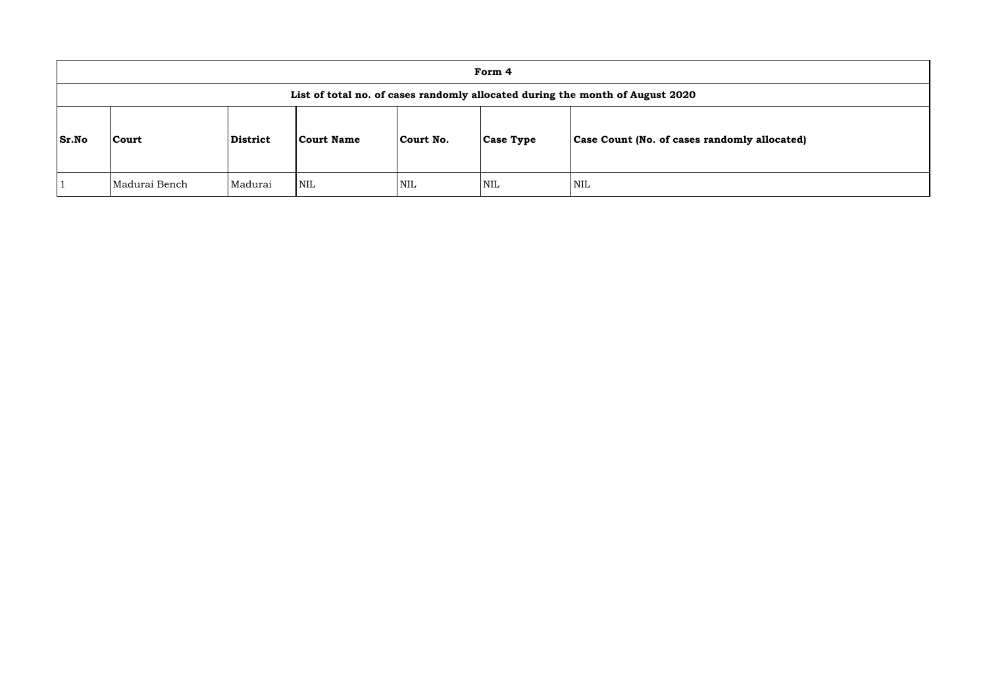|              | Form 4                                                                        |          |                   |            |                  |                                                     |  |  |  |  |  |
|--------------|-------------------------------------------------------------------------------|----------|-------------------|------------|------------------|-----------------------------------------------------|--|--|--|--|--|
|              | List of total no. of cases randomly allocated during the month of August 2020 |          |                   |            |                  |                                                     |  |  |  |  |  |
| <b>Sr.No</b> | Court                                                                         | District | <b>Court Name</b> | Court No.  | <b>Case Type</b> | <b>Case Count (No. of cases randomly allocated)</b> |  |  |  |  |  |
|              | Madurai Bench                                                                 | Madurai  | <b>NIL</b>        | <b>NIL</b> | <b>NIL</b>       | <b>NIL</b>                                          |  |  |  |  |  |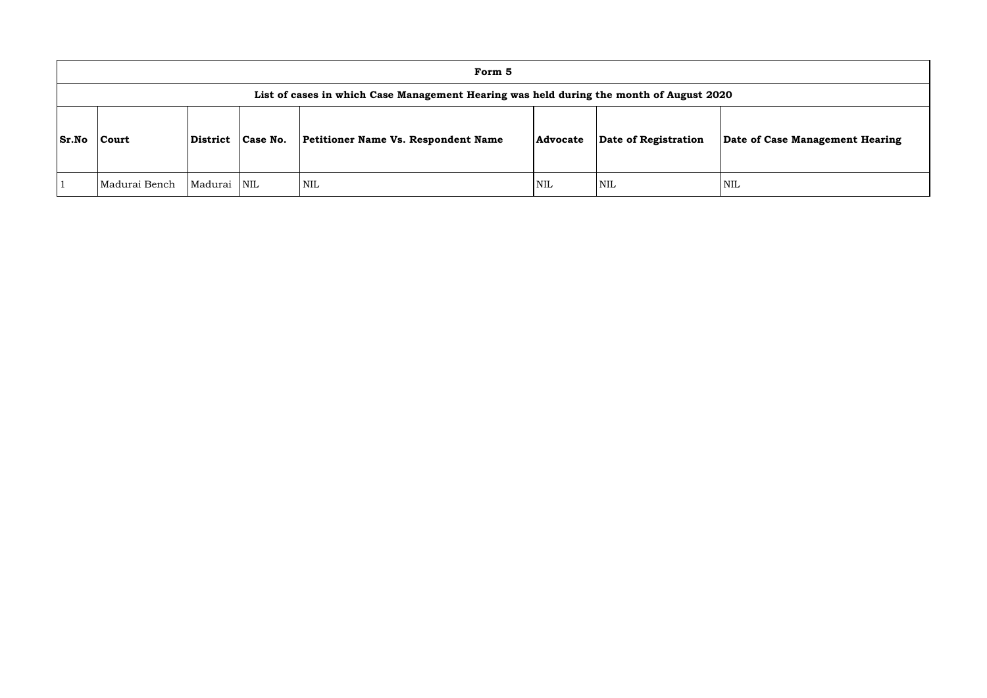|              | Form 5                                                                                  |         |                         |                                            |                 |                      |             |  |  |  |  |  |  |
|--------------|-----------------------------------------------------------------------------------------|---------|-------------------------|--------------------------------------------|-----------------|----------------------|-------------|--|--|--|--|--|--|
|              | List of cases in which Case Management Hearing was held during the month of August 2020 |         |                         |                                            |                 |                      |             |  |  |  |  |  |  |
| <b>Sr.No</b> | District<br>Court                                                                       |         | Case No.                | <b>Petitioner Name Vs. Respondent Name</b> | <b>Advocate</b> | Date of Registration | <b>Date</b> |  |  |  |  |  |  |
|              | Madurai Bench                                                                           | Madurai | $\overline{\text{NIL}}$ | NIL                                        | <b>NIL</b>      | <b>NIL</b>           | NIL         |  |  |  |  |  |  |

**of Case Management Hearing**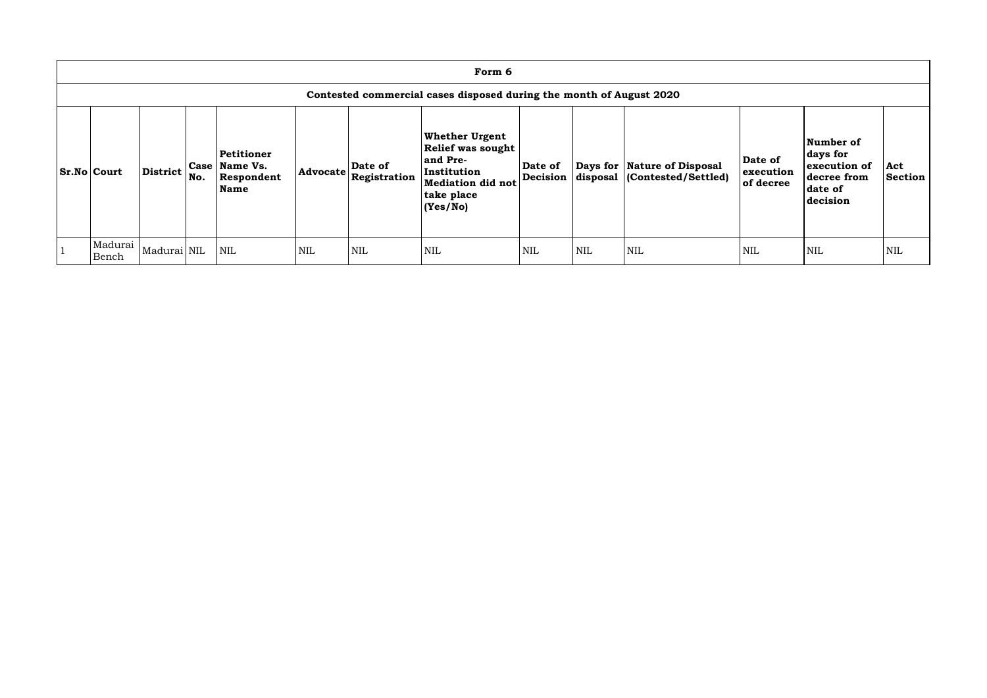| Form 6                                                              |                 |     |                                                   |                 |                         |                                                                                                                                     |                     |            |                                                               |                                   |                                                                             |                       |  |
|---------------------------------------------------------------------|-----------------|-----|---------------------------------------------------|-----------------|-------------------------|-------------------------------------------------------------------------------------------------------------------------------------|---------------------|------------|---------------------------------------------------------------|-----------------------------------|-----------------------------------------------------------------------------|-----------------------|--|
| Contested commercial cases disposed during the month of August 2020 |                 |     |                                                   |                 |                         |                                                                                                                                     |                     |            |                                                               |                                   |                                                                             |                       |  |
| <b>Sr.No Court</b>                                                  | <b>District</b> | No. | Petitioner<br>Case Name Vs.<br>Respondent<br>Name | <b>Advocate</b> | Date of<br>Registration | <b>Whether Urgent</b><br><b>Relief was sought</b><br>and Pre-<br>Institution<br><b>Mediation did not</b><br>take place<br> (Yes/No) | Date of<br>Decision |            | Days for   Nature of Disposal<br>disposal (Contested/Settled) | Date of<br>execution<br>of decree | Number of<br>days for<br>execution of<br>decree from<br>date of<br>decision | Act<br><b>Section</b> |  |
| Madurai<br>Bench                                                    | Madurai NIL     |     | <b>NIL</b>                                        | <b>NIL</b>      | <b>NIL</b>              | <b>NIL</b>                                                                                                                          | <b>NIL</b>          | <b>NIL</b> | <b>NIL</b>                                                    | <b>NIL</b>                        | <b>NIL</b>                                                                  | <b>NIL</b>            |  |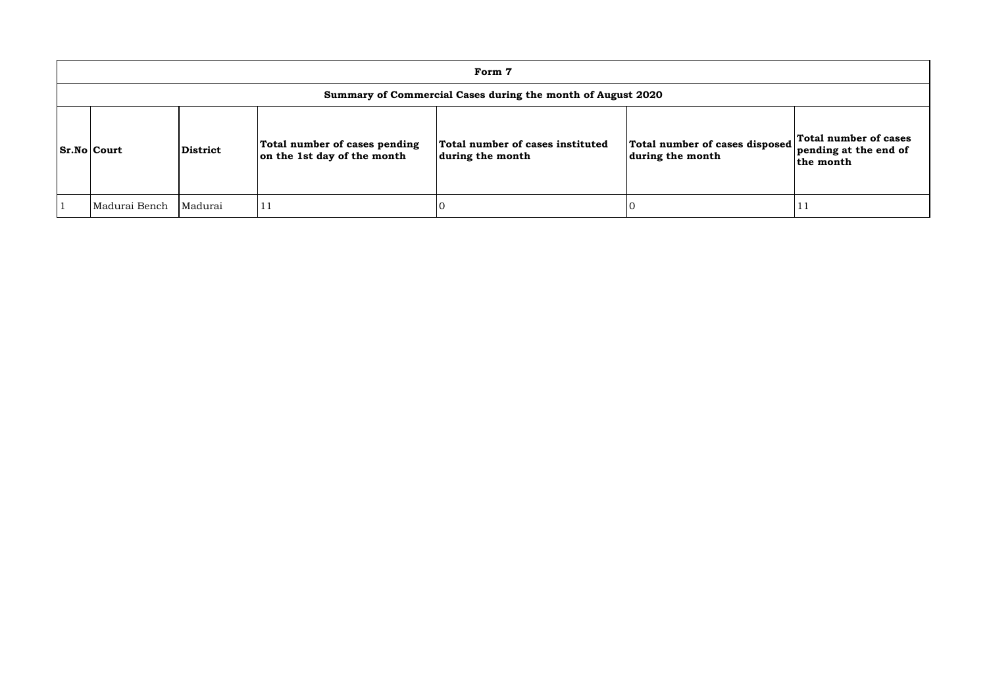| Form 7                                                      |          |                                                              |                                                      |                                                    |                                                             |  |  |  |  |  |  |  |
|-------------------------------------------------------------|----------|--------------------------------------------------------------|------------------------------------------------------|----------------------------------------------------|-------------------------------------------------------------|--|--|--|--|--|--|--|
| Summary of Commercial Cases during the month of August 2020 |          |                                                              |                                                      |                                                    |                                                             |  |  |  |  |  |  |  |
| <b>Sr.No Court</b>                                          | District | Total number of cases pending<br>on the 1st day of the month | Total number of cases instituted<br>during the month | Total number of cases disposed<br>during the month | Total number of cases<br>pending at the end of<br>the month |  |  |  |  |  |  |  |
| Madurai Bench                                               | Madurai  |                                                              |                                                      |                                                    |                                                             |  |  |  |  |  |  |  |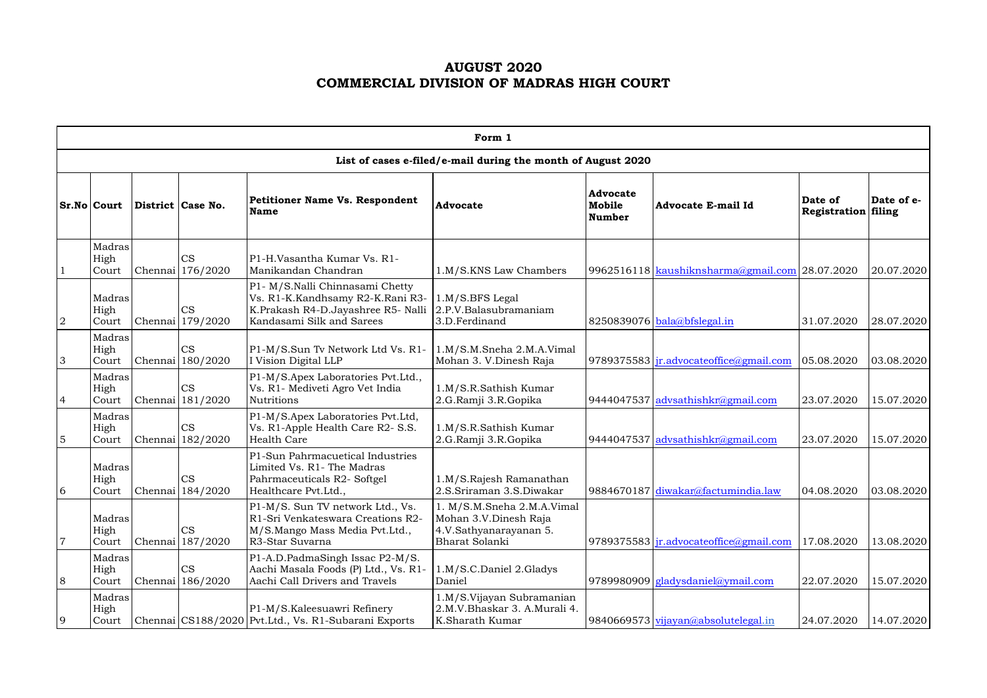# **AUGUST 2020 COMMERCIAL DIVISION OF MADRAS HIGH COURT**

|                | Form 1                                                       |  |                               |                                                                                                                                        |                                                                                                        |                                            |                                                  |                                       |            |  |  |  |  |
|----------------|--------------------------------------------------------------|--|-------------------------------|----------------------------------------------------------------------------------------------------------------------------------------|--------------------------------------------------------------------------------------------------------|--------------------------------------------|--------------------------------------------------|---------------------------------------|------------|--|--|--|--|
|                | List of cases e-filed/e-mail during the month of August 2020 |  |                               |                                                                                                                                        |                                                                                                        |                                            |                                                  |                                       |            |  |  |  |  |
|                | Sr.No Court                                                  |  | District Case No.             | <b>Petitioner Name Vs. Respondent</b><br><b>Name</b>                                                                                   | <b>Advocate</b>                                                                                        | <b>Advocate</b><br>Mobile<br><b>Number</b> | <b>Advocate E-mail Id</b>                        | Date of<br><b>Registration filing</b> | Date of e- |  |  |  |  |
|                | Madras<br>High<br>Court                                      |  | <b>CS</b><br>Chennai 176/2020 | P1-H.Vasantha Kumar Vs. R1-<br>Manikandan Chandran                                                                                     | 1.M/S.KNS Law Chambers                                                                                 |                                            | 9962516118   kaushiknsharma@gmail.com 28.07.2020 |                                       | 20.07.2020 |  |  |  |  |
| 2              | Madras<br>High<br>Court                                      |  | <b>CS</b><br>Chennai 179/2020 | P1- M/S.Nalli Chinnasami Chetty<br>Vs. R1-K.Kandhsamy R2-K.Rani R3-<br>K.Prakash R4-D.Jayashree R5- Nalli<br>Kandasami Silk and Sarees | 1.M/S.BFS Legal<br>2.P.V.Balasubramaniam<br>3.D.Ferdinand                                              |                                            | $8250839076$ bala@bfslegal.in                    | 31.07.2020                            | 28.07.2020 |  |  |  |  |
| 3              | Madras<br>High<br>Court                                      |  | CS<br>Chennai 180/2020        | P1-M/S.Sun Tv Network Ltd Vs. R1-<br>I Vision Digital LLP                                                                              | 1.M/S.M.Sneha 2.M.A.Vimal<br>Mohan 3. V.Dinesh Raja                                                    |                                            | 9789375583 $ir$ . advocate office $@g$ mail.com  | 05.08.2020                            | 03.08.2020 |  |  |  |  |
| $\overline{4}$ | Madras<br>High<br>Court                                      |  | CS<br>Chennai 181/2020        | P1-M/S.Apex Laboratories Pvt.Ltd.,<br>Vs. R1- Mediveti Agro Vet India<br><b>Nutritions</b>                                             | 1.M/S.R.Sathish Kumar<br>2.G.Ramji 3.R.Gopika                                                          |                                            | 9444047537 advsathishkr@gmail.com                | 23.07.2020                            | 15.07.2020 |  |  |  |  |
| 5              | Madras<br>High<br>Court                                      |  | <b>CS</b><br>Chennai 182/2020 | P1-M/S.Apex Laboratories Pvt.Ltd,<br>Vs. R1-Apple Health Care R2- S.S.<br><b>Health Care</b>                                           | 1.M/S.R.Sathish Kumar<br>2.G.Ramji 3.R.Gopika                                                          | 9444047537                                 | advsathishkr@gmail.com                           | 23.07.2020                            | 15.07.2020 |  |  |  |  |
| 6              | Madras<br>High<br>Court                                      |  | <b>CS</b><br>Chennai 184/2020 | P1-Sun Pahrmacuetical Industries<br>Limited Vs. R1- The Madras<br>Pahrmaceuticals R2- Softgel<br>Healthcare Pvt.Ltd.,                  | 1.M/S.Rajesh Ramanathan<br>2.S.Sriraman 3.S.Diwakar                                                    |                                            | 9884670187 diwakar@factumindia.law               | 04.08.2020                            | 03.08.2020 |  |  |  |  |
| 7              | Madras<br>High<br>Court                                      |  | <b>CS</b><br>Chennai 187/2020 | P1-M/S. Sun TV network Ltd., Vs.<br>R1-Sri Venkateswara Creations R2-<br>M/S.Mango Mass Media Pvt.Ltd.,<br>R3-Star Suvarna             | 1. M/S.M.Sneha 2.M.A.Vimal<br>Mohan 3.V.Dinesh Raja<br>4.V.Sathyanarayanan 5.<br><b>Bharat Solanki</b> |                                            | 9789375583   jr.advocateoffice@gmail.com         | 17.08.2020                            | 13.08.2020 |  |  |  |  |
| 8              | Madras<br>High<br>Court                                      |  | <b>CS</b><br>Chennai 186/2020 | P1-A.D.PadmaSingh Issac P2-M/S.<br>Aachi Masala Foods (P) Ltd., Vs. R1-<br>Aachi Call Drivers and Travels                              | 1.M/S.C.Daniel 2.Gladys<br>Daniel                                                                      |                                            | 9789980909 $g$ ladysdaniel@ymail.com             | 22.07.2020                            | 15.07.2020 |  |  |  |  |
| 9              | Madras<br>High<br>Court                                      |  |                               | P1-M/S.Kaleesuawri Refinery<br>Chennai CS188/2020 Pvt.Ltd., Vs. R1-Subarani Exports                                                    | 1.M/S.Vijayan Subramanian<br>2.M.V.Bhaskar 3. A.Murali 4.<br>K.Sharath Kumar                           |                                            | 9840669573 vijayan@absolutelegal.in              | 24.07.2020                            | 14.07.2020 |  |  |  |  |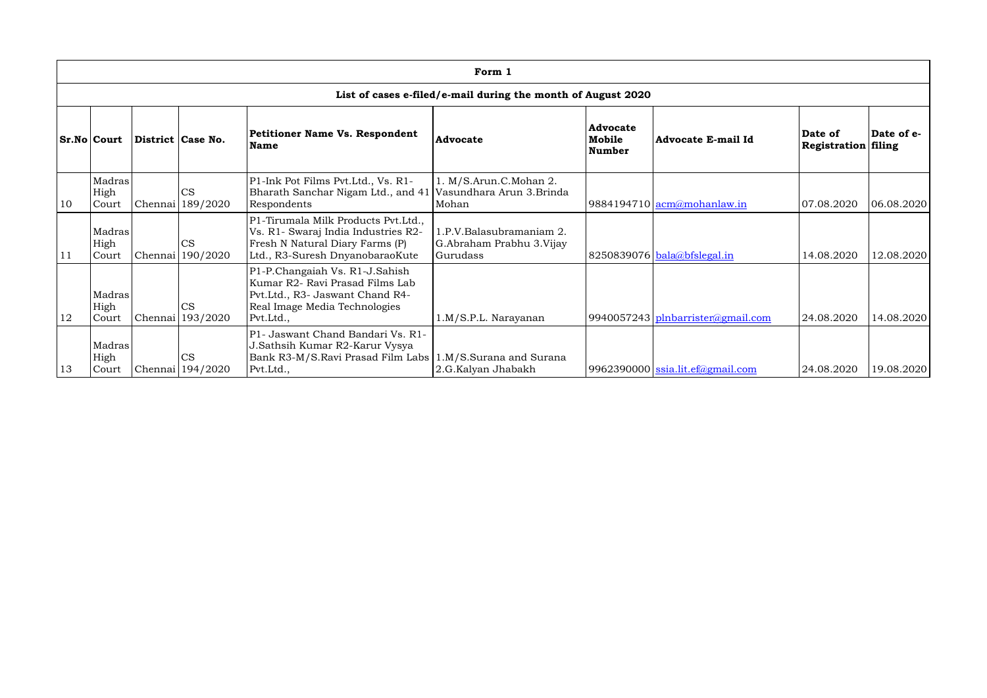|    | Form 1                                                       |         |                               |                                                                                                                                                    |                                                                  |                                            |                                   |                                |            |  |  |  |  |
|----|--------------------------------------------------------------|---------|-------------------------------|----------------------------------------------------------------------------------------------------------------------------------------------------|------------------------------------------------------------------|--------------------------------------------|-----------------------------------|--------------------------------|------------|--|--|--|--|
|    | List of cases e-filed/e-mail during the month of August 2020 |         |                               |                                                                                                                                                    |                                                                  |                                            |                                   |                                |            |  |  |  |  |
|    | <b>Sr.No Court</b>                                           |         | District Case No.             | Petitioner Name Vs. Respondent<br><b>Name</b>                                                                                                      | <b>Advocate</b>                                                  | <b>Advocate</b><br>Mobile<br><b>Number</b> | <b>Advocate E-mail Id</b>         | Date of<br>Registration filing | Date of e- |  |  |  |  |
| 10 | Madras<br>High<br>Court                                      | Chennai | <b>CS</b><br>189/2020         | P1-Ink Pot Films Pvt.Ltd., Vs. R1-<br>Bharath Sanchar Nigam Ltd., and 41<br>Respondents                                                            | 1. M/S.Arun.C.Mohan 2.<br>Vasundhara Arun 3.Brinda<br>Mohan      |                                            | 9884194710 $\alpha$ mamohanlaw.in | 07.08.2020                     | 06.08.2020 |  |  |  |  |
| 11 | Madras<br><b>High</b><br>Court                               | Chennai | <b>CS</b><br>190/2020         | P1-Tirumala Milk Products Pvt.Ltd.,<br>Vs. R1- Swaraj India Industries R2-<br>Fresh N Natural Diary Farms (P)<br>Ltd., R3-Suresh DnyanobaraoKute   | 1.P.V.Balasubramaniam 2.<br>G.Abraham Prabhu 3.Vijay<br>Gurudass |                                            | $8250839076$ bala@bfslegal.in     | 14.08.2020                     | 12.08.2020 |  |  |  |  |
| 12 | Madras<br>High<br>Court                                      |         | <b>CS</b><br>Chennai 193/2020 | P1-P.Changaiah Vs. R1-J.Sahish<br>Kumar R2- Ravi Prasad Films Lab<br>Pvt.Ltd., R3- Jaswant Chand R4-<br>Real Image Media Technologies<br>Pvt.Ltd., | 1.M/S.P.L. Narayanan                                             |                                            | 9940057243 plnbarrister@gmail.com | 24.08.2020                     | 14.08.2020 |  |  |  |  |
| 13 | Madras<br>High<br>Court                                      |         | CS<br>Chennai 194/2020        | P1- Jaswant Chand Bandari Vs. R1-<br>J.Sathsih Kumar R2-Karur Vysya<br>Bank R3-M/S.Ravi Prasad Film Labs<br>Pvt.Ltd.,                              | 1.M/S.Surana and Surana<br>2.G.Kalyan Jhabakh                    |                                            | 9962390000 ssia.lit.ef@gmail.com  | 24.08.2020                     | 19.08.2020 |  |  |  |  |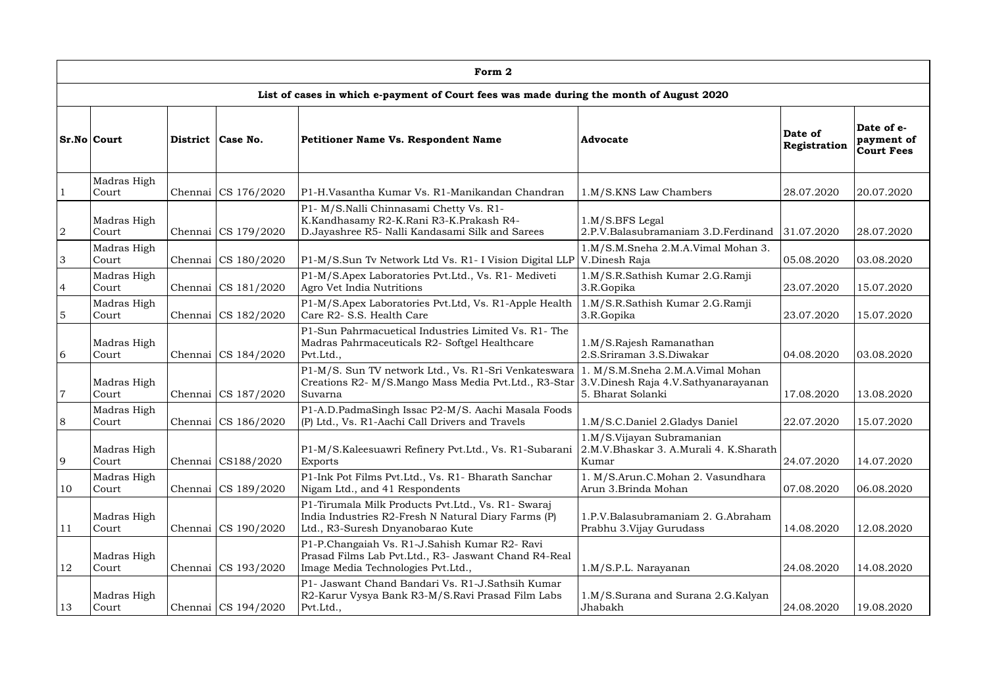|                | Form 2               |  |                     |                                                                                                                                                             |                                                                              |                         |                                               |  |  |  |  |  |  |
|----------------|----------------------|--|---------------------|-------------------------------------------------------------------------------------------------------------------------------------------------------------|------------------------------------------------------------------------------|-------------------------|-----------------------------------------------|--|--|--|--|--|--|
|                |                      |  |                     | List of cases in which e-payment of Court fees was made during the month of August 2020                                                                     |                                                                              |                         |                                               |  |  |  |  |  |  |
|                | <b>Sr.No Court</b>   |  | District   Case No. | <b>Petitioner Name Vs. Respondent Name</b>                                                                                                                  | <b>Advocate</b>                                                              | Date of<br>Registration | Date of e-<br>payment of<br><b>Court Fees</b> |  |  |  |  |  |  |
|                | Madras High<br>Court |  | Chennai CS 176/2020 | P1-H.Vasantha Kumar Vs. R1-Manikandan Chandran                                                                                                              | 1.M/S.KNS Law Chambers                                                       | 28.07.2020              | 20.07.2020                                    |  |  |  |  |  |  |
| $\overline{2}$ | Madras High<br>Court |  | Chennai CS 179/2020 | P1- M/S.Nalli Chinnasami Chetty Vs. R1-<br>K.Kandhasamy R2-K.Rani R3-K.Prakash R4-<br>D.Jayashree R5- Nalli Kandasami Silk and Sarees                       | $1.M/S.BFS$ Legal<br>2.P.V.Balasubramaniam 3.D.Ferdinand<br>31.07.2020       |                         | 28.07.2020                                    |  |  |  |  |  |  |
| 3              | Madras High<br>Court |  | Chennai CS 180/2020 | P1-M/S.Sun Tv Network Ltd Vs. R1- I Vision Digital LLP                                                                                                      | 1.M/S.M.Sneha 2.M.A.Vimal Mohan 3.<br>V.Dinesh Raja                          | 05.08.2020              | 03.08.2020                                    |  |  |  |  |  |  |
| $\overline{4}$ | Madras High<br>Court |  | Chennai CS 181/2020 | P1-M/S.Apex Laboratories Pvt.Ltd., Vs. R1- Mediveti<br>Agro Vet India Nutritions                                                                            | 1.M/S.R.Sathish Kumar 2.G.Ramji<br>3.R.Gopika                                | 23.07.2020              | 15.07.2020                                    |  |  |  |  |  |  |
| $\overline{5}$ | Madras High<br>Court |  | Chennai CS 182/2020 | P1-M/S.Apex Laboratories Pvt.Ltd, Vs. R1-Apple Health<br>Care R2- S.S. Health Care                                                                          | 1.M/S.R.Sathish Kumar 2.G.Ramji<br>3.R.Gopika                                | 23.07.2020              | 15.07.2020                                    |  |  |  |  |  |  |
| 6              | Madras High<br>Court |  | Chennai CS 184/2020 | P1-Sun Pahrmacuetical Industries Limited Vs. R1-The<br>Madras Pahrmaceuticals R2- Softgel Healthcare<br>Pvt.Ltd.,                                           | 1.M/S.Rajesh Ramanathan<br>2.S.Sriraman 3.S.Diwakar                          | 04.08.2020              | 03.08.2020                                    |  |  |  |  |  |  |
| $\overline{7}$ | Madras High<br>Court |  | Chennai CS 187/2020 | P1-M/S. Sun TV network Ltd., Vs. R1-Sri Venkateswara<br>Creations R2- M/S.Mango Mass Media Pvt.Ltd., R3-Star 3.V.Dinesh Raja 4.V.Sathyanarayanan<br>Suvarna | 1. M/S.M.Sneha 2.M.A.Vimal Mohan<br>5. Bharat Solanki                        | 17.08.2020              | 13.08.2020                                    |  |  |  |  |  |  |
| 8              | Madras High<br>Court |  | Chennai CS 186/2020 | P1-A.D.PadmaSingh Issac P2-M/S. Aachi Masala Foods<br>(P) Ltd., Vs. R1-Aachi Call Drivers and Travels                                                       | 1.M/S.C.Daniel 2.Gladys Daniel                                               | 22.07.2020              | 15.07.2020                                    |  |  |  |  |  |  |
| 9              | Madras High<br>Court |  | Chennai CS188/2020  | P1-M/S.Kaleesuawri Refinery Pvt.Ltd., Vs. R1-Subarani<br><b>Exports</b>                                                                                     | 1.M/S.Vijayan Subramanian<br>2.M.V.Bhaskar 3. A.Murali 4. K.Sharath<br>Kumar | 24.07.2020              | 14.07.2020                                    |  |  |  |  |  |  |
| 10             | Madras High<br>Court |  | Chennai CS 189/2020 | P1-Ink Pot Films Pvt.Ltd., Vs. R1- Bharath Sanchar<br>Nigam Ltd., and 41 Respondents                                                                        | 1. M/S.Arun.C.Mohan 2. Vasundhara<br>Arun 3.Brinda Mohan                     | 07.08.2020              | 06.08.2020                                    |  |  |  |  |  |  |
| 11             | Madras High<br>Court |  | Chennai CS 190/2020 | P1-Tirumala Milk Products Pvt.Ltd., Vs. R1- Swaraj<br>India Industries R2-Fresh N Natural Diary Farms (P)<br>Ltd., R3-Suresh Dnyanobarao Kute               | 1.P.V.Balasubramaniam 2. G.Abraham<br>Prabhu 3. Vijay Gurudass               | 14.08.2020              | 12.08.2020                                    |  |  |  |  |  |  |
| 12             | Madras High<br>Court |  | Chennai CS 193/2020 | P1-P.Changaiah Vs. R1-J.Sahish Kumar R2- Ravi<br>Prasad Films Lab Pvt.Ltd., R3- Jaswant Chand R4-Real<br>Image Media Technologies Pvt.Ltd.,                 | 1.M/S.P.L. Narayanan                                                         | 24.08.2020              | 14.08.2020                                    |  |  |  |  |  |  |
| 13             | Madras High<br>Court |  | Chennai CS 194/2020 | P1- Jaswant Chand Bandari Vs. R1-J. Sathsih Kumar<br>R2-Karur Vysya Bank R3-M/S.Ravi Prasad Film Labs<br>Pvt.Ltd.,                                          | 1.M/S.Surana and Surana 2.G.Kalyan<br>Jhabakh                                | 24.08.2020              | 19.08.2020                                    |  |  |  |  |  |  |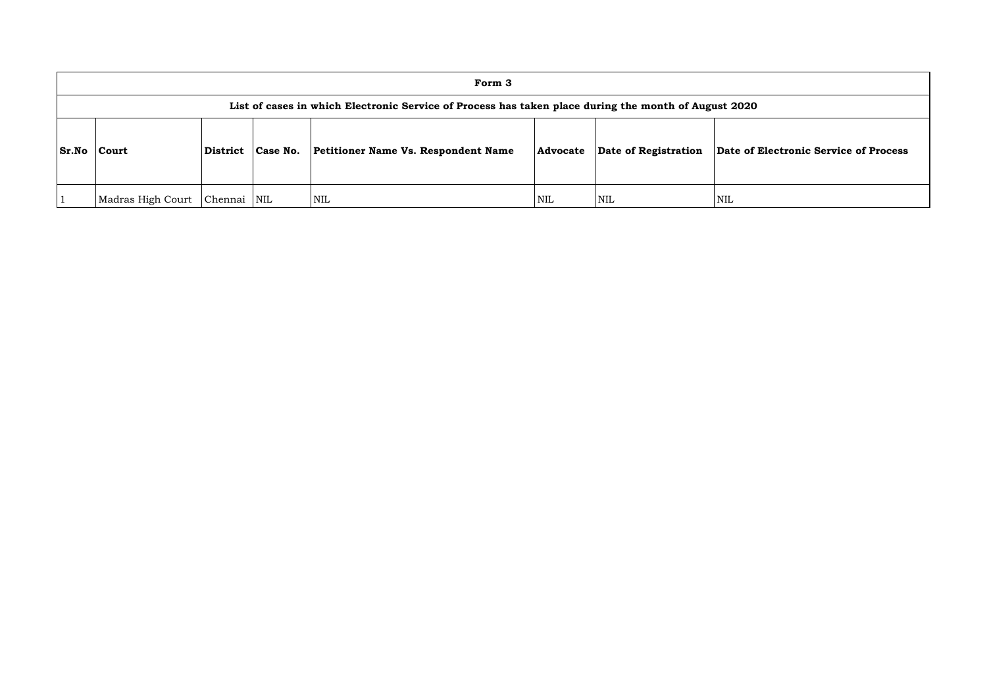|              | Form 3                                                                                               |                        |            |                                            |          |                      |         |  |  |  |  |  |
|--------------|------------------------------------------------------------------------------------------------------|------------------------|------------|--------------------------------------------|----------|----------------------|---------|--|--|--|--|--|
|              | List of cases in which Electronic Service of Process has taken place during the month of August 2020 |                        |            |                                            |          |                      |         |  |  |  |  |  |
| <b>Sr.No</b> | <b>Court</b>                                                                                         | Case No.<br>  District |            | <b>Petitioner Name Vs. Respondent Name</b> | Advocate | Date of Registration | Date of |  |  |  |  |  |
|              | Madras High Court                                                                                    | Chennai                | <b>NIL</b> | NIL                                        | NIL      | <b>NIL</b>           | NIL     |  |  |  |  |  |

**Sr.No Court District Case No. Petitioner Name Vs. Respondent Name Advocate Date of Registration Date of Electronic Service of Process**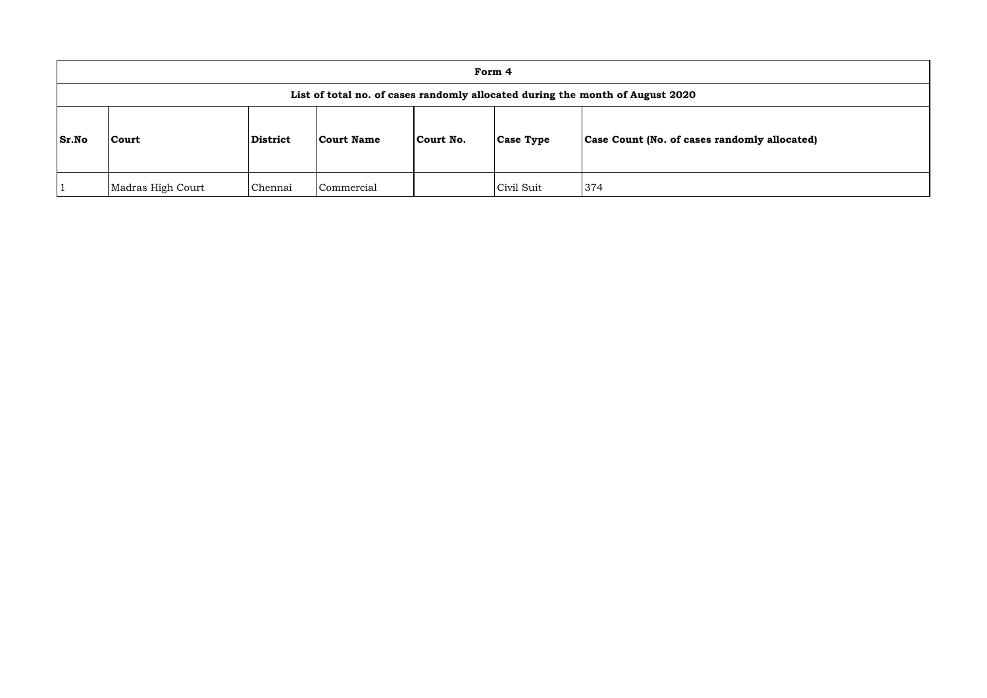|       | Form 4                                                                        |                 |                   |           |                  |                                              |  |  |  |  |  |
|-------|-------------------------------------------------------------------------------|-----------------|-------------------|-----------|------------------|----------------------------------------------|--|--|--|--|--|
|       | List of total no. of cases randomly allocated during the month of August 2020 |                 |                   |           |                  |                                              |  |  |  |  |  |
| Sr.No | Court                                                                         | <b>District</b> | <b>Court Name</b> | Court No. | <b>Case Type</b> | Case Count (No. of cases randomly allocated) |  |  |  |  |  |
|       | Madras High Court                                                             | Chennai         | Commercial        |           | Civil Suit       | 374                                          |  |  |  |  |  |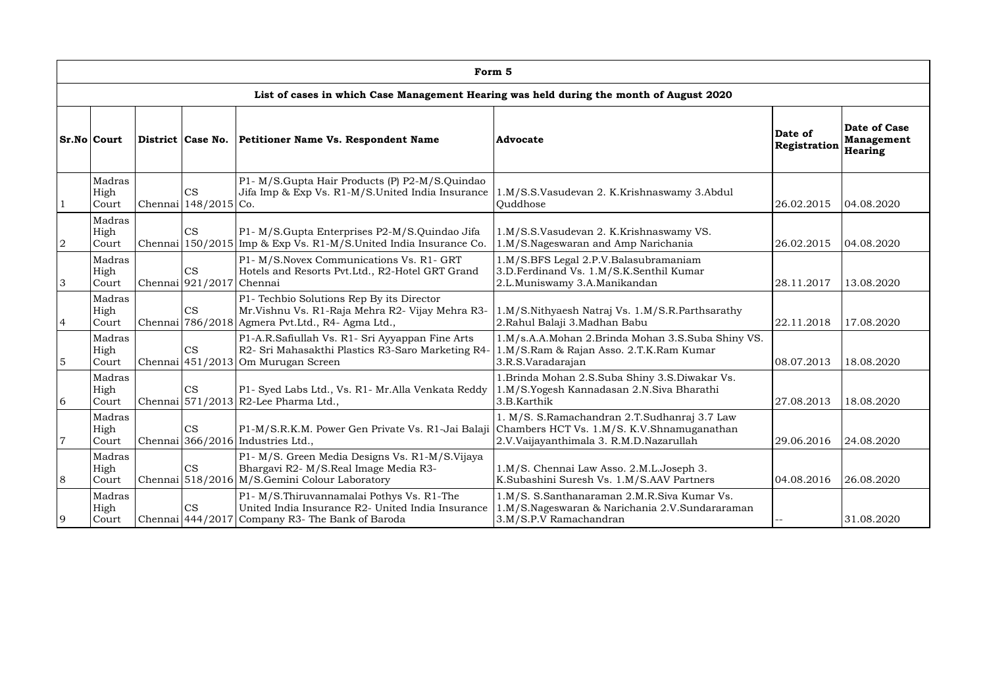|                | Form 5                                                                                  |         |                                       |                                                                                                                                                    |                                                                                                                         |                         |                                                     |  |  |  |  |  |  |
|----------------|-----------------------------------------------------------------------------------------|---------|---------------------------------------|----------------------------------------------------------------------------------------------------------------------------------------------------|-------------------------------------------------------------------------------------------------------------------------|-------------------------|-----------------------------------------------------|--|--|--|--|--|--|
|                | List of cases in which Case Management Hearing was held during the month of August 2020 |         |                                       |                                                                                                                                                    |                                                                                                                         |                         |                                                     |  |  |  |  |  |  |
|                | Sr.No Court                                                                             |         | District   Case No.                   | <b>Petitioner Name Vs. Respondent Name</b>                                                                                                         | <b>Advocate</b>                                                                                                         | Date of<br>Registration | Date of Case<br><b>Management</b><br><b>Hearing</b> |  |  |  |  |  |  |
|                | Madras<br>High<br>Court                                                                 | Chennai | <b>CS</b><br>$148/2015$ Co.           | P1- M/S.Gupta Hair Products (P) P2-M/S.Quindao<br>Jifa Imp & Exp Vs. R1-M/S.United India Insurance                                                 | 1.M/S.S.Vasudevan 2. K.Krishnaswamy 3.Abdul<br>Quddhose                                                                 | 26.02.2015              | 04.08.2020                                          |  |  |  |  |  |  |
| $\overline{2}$ | Madras<br>High<br>Court                                                                 | Chennai | <b>CS</b>                             | P1- M/S.Gupta Enterprises P2-M/S.Quindao Jifa<br>150/2015 Imp & Exp Vs. R1-M/S. United India Insurance Co.                                         | 1.M/S.S.Vasudevan 2. K.Krishnaswamy VS.<br>1.M/S.Nageswaran and Amp Narichania                                          | 26.02.2015              | 04.08.2020                                          |  |  |  |  |  |  |
| 3              | Madras<br>High<br>Court                                                                 |         | <b>CS</b><br>Chennai 921/2017 Chennai | P1- M/S.Novex Communications Vs. R1- GRT<br>Hotels and Resorts Pvt.Ltd., R2-Hotel GRT Grand                                                        | 1.M/S.BFS Legal 2.P.V.Balasubramaniam<br>3.D.Ferdinand Vs. 1.M/S.K.Senthil Kumar<br>2.L.Muniswamy 3.A.Manikandan        | 28.11.2017              | 13.08.2020                                          |  |  |  |  |  |  |
| 4              | Madras<br>High<br>Court                                                                 |         | <b>CS</b>                             | P1- Techbio Solutions Rep By its Director<br>Mr.Vishnu Vs. R1-Raja Mehra R2- Vijay Mehra R3-<br>Chennai 786/2018 Agmera Pvt. Ltd., R4- Agma Ltd.,  | 1.M/S.Nithyaesh Natraj Vs. 1.M/S.R.Parthsarathy<br>2. Rahul Balaji 3. Madhan Babu                                       | 22.11.2018              | 17.08.2020                                          |  |  |  |  |  |  |
| 5              | Madras<br>High<br>Court                                                                 |         | <b>CS</b>                             | P1-A.R.Safiullah Vs. R1- Sri Ayyappan Fine Arts<br>R2- Sri Mahasakthi Plastics R3-Saro Marketing R4-<br>Chennai 451/2013 Om Murugan Screen         | 1.M/s.A.A.Mohan 2.Brinda Mohan 3.S.Suba Shiny VS.<br>1.M/S.Ram & Rajan Asso. 2.T.K.Ram Kumar<br>3.R.S.Varadarajan       | 08.07.2013              | 18.08.2020                                          |  |  |  |  |  |  |
| 6              | Madras<br>High<br>Court                                                                 |         | CS                                    | P1- Syed Labs Ltd., Vs. R1- Mr. Alla Venkata Reddy<br>Chennai 571/2013 R2-Lee Pharma Ltd.,                                                         | 1. Brinda Mohan 2. S. Suba Shiny 3. S. Diwakar Vs.<br>1.M/S.Yogesh Kannadasan 2.N.Siva Bharathi<br>3.B.Karthik          | 27.08.2013              | 18.08.2020                                          |  |  |  |  |  |  |
| $\overline{7}$ | Madras<br>High<br>Court                                                                 |         | CS                                    | P1-M/S.R.K.M. Power Gen Private Vs. R1-Jai Balaji Chambers HCT Vs. 1.M/S. K.V.Shnamuganathan<br>Chennai 366/2016 Industries Ltd.,                  | 1. M/S. S.Ramachandran 2.T.Sudhanraj 3.7 Law<br>2.V.Vaijayanthimala 3. R.M.D.Nazarullah                                 | 29.06.2016              | 24.08.2020                                          |  |  |  |  |  |  |
| 8              | Madras<br>High<br>Court                                                                 |         | CS                                    | P1- M/S. Green Media Designs Vs. R1-M/S. Vijaya<br>Bhargavi R2- M/S.Real Image Media R3-<br>Chennai 518/2016 M/S. Gemini Colour Laboratory         | 1.M/S. Chennai Law Asso. 2.M.L.Joseph 3.<br>K.Subashini Suresh Vs. 1.M/S.AAV Partners                                   | 04.08.2016              | 26.08.2020                                          |  |  |  |  |  |  |
| 9              | Madras<br>High<br>Court                                                                 |         | CS                                    | P1- M/S. Thiruvannamalai Pothys Vs. R1-The<br>United India Insurance R2- United India Insurance<br>Chennai 444/2017 Company R3- The Bank of Baroda | 1.M/S. S.Santhanaraman 2.M.R.Siva Kumar Vs.<br>1.M/S.Nageswaran & Narichania 2.V.Sundararaman<br>3.M/S.P.V Ramachandran |                         | 31.08.2020                                          |  |  |  |  |  |  |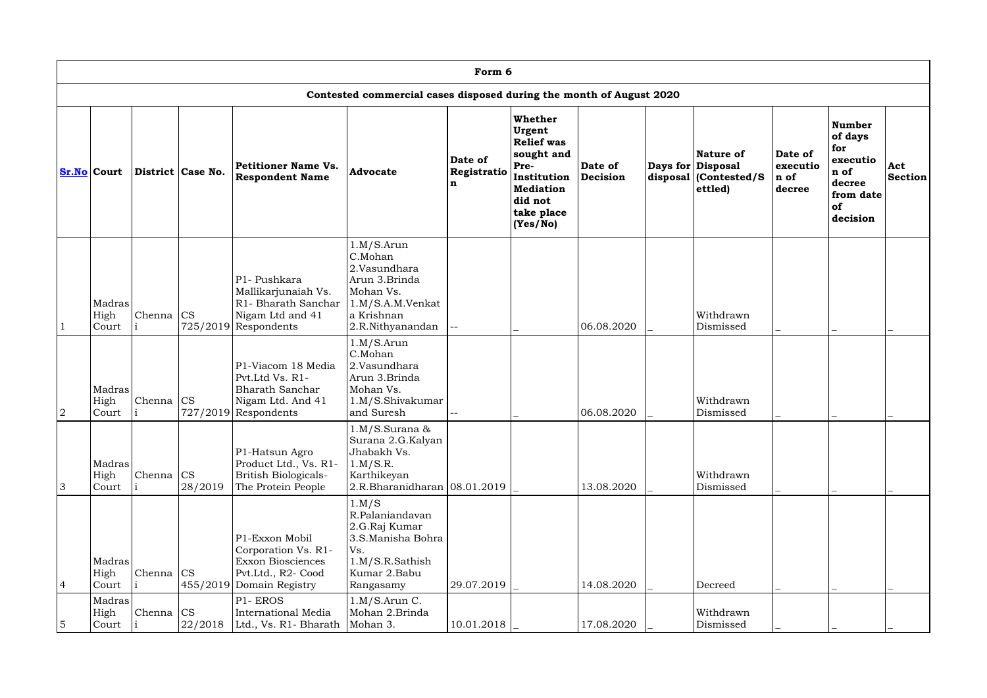|                | Form 6                  |                    |                   |                                                                                                                     |                                                                                                                           |                             |                                                                                                                                      |                     |  |                                                                                |                                       |                                                                                       |                       |
|----------------|-------------------------|--------------------|-------------------|---------------------------------------------------------------------------------------------------------------------|---------------------------------------------------------------------------------------------------------------------------|-----------------------------|--------------------------------------------------------------------------------------------------------------------------------------|---------------------|--|--------------------------------------------------------------------------------|---------------------------------------|---------------------------------------------------------------------------------------|-----------------------|
|                |                         |                    |                   |                                                                                                                     | Contested commercial cases disposed during the month of August 2020                                                       |                             |                                                                                                                                      |                     |  |                                                                                |                                       |                                                                                       |                       |
|                | <b>Sr.No Court</b>      |                    | District Case No. | Petitioner Name Vs.<br><b>Respondent Name</b>                                                                       | <b>Advocate</b>                                                                                                           | Date of<br>Registratio<br>n | Whether<br>Urgent<br><b>Relief was</b><br>sought and<br>Pre-<br>Institution<br><b>Mediation</b><br>did not<br>take place<br>(Yes/No) | Date of<br>Decision |  | <b>Nature of</b><br>Days for Disposal<br>disposal $ $ (Contested/S)<br>ettled) | Date of<br>executio<br>n of<br>decree | Number<br>of days<br>for<br>executio<br>n of<br>decree<br>from date<br>of<br>decision | Act<br><b>Section</b> |
|                | Madras<br>High<br>Court | Chenna $ CS $      |                   | P1- Pushkara<br>Mallikarjunaiah Vs.<br>R1- Bharath Sanchar<br>Nigam Ltd and 41<br>$725/2019$ Respondents            | 1.M/S.Arun<br>C.Mohan<br>2.Vasundhara<br>Arun 3.Brinda<br>Mohan Vs.<br>1.M/S.A.M.Venkat<br>a Krishnan<br>2.R.Nithyanandan | --                          |                                                                                                                                      | 06.08.2020          |  | Withdrawn<br>Dismissed                                                         |                                       |                                                                                       |                       |
| 2              | Madras<br>High<br>Court | Chenna $ CS $      |                   | P1-Viacom 18 Media<br>Pvt.Ltd Vs. R1-<br><b>Bharath Sanchar</b><br>Nigam Ltd. And 41<br>$727/2019$ Respondents      | 1.M/S.Arun<br>C.Mohan<br>2.Vasundhara<br>Arun 3.Brinda<br>Mohan Vs.<br>1.M/S.Shivakumar<br>and Suresh                     |                             |                                                                                                                                      | 06.08.2020          |  | Withdrawn<br>$\operatorname{Dism}$ issed                                       |                                       |                                                                                       |                       |
| 3              | Madras<br>High<br>Court | Chenna $\text{CS}$ | 28/2019           | P1-Hatsun Agro<br>Product Ltd., Vs. R1-<br>British Biologicals-<br>The Protein People                               | 1.M/S.Surana &<br>Surana 2.G.Kalyan<br>Jhabakh Vs.<br>1.M/S.R.<br>Karthikeyan<br>$2.R.Bharanidharan$ $08.01.2019$         |                             |                                                                                                                                      | 13.08.2020          |  | Withdrawn<br>Dismissed                                                         |                                       |                                                                                       |                       |
| $\overline{4}$ | Madras<br>High<br>Court | Chenna CS          |                   | P1-Exxon Mobil<br>Corporation Vs. R1-<br><b>Exxon Biosciences</b><br>Pvt.Ltd., R2- Cood<br>455/2019 Domain Registry | 1.M/S<br>R.Palaniandavan<br>2.G.Raj Kumar<br>3.S.Manisha Bohra<br>Vs.<br>1.M/S.R.Sathish<br>Kumar 2.Babu<br>Rangasamy     | 29.07.2019                  |                                                                                                                                      | 14.08.2020          |  | Decreed                                                                        |                                       |                                                                                       |                       |
| $\overline{5}$ | Madras<br>High<br>Court | Chenna CS          |                   | P1-EROS<br>International Media<br>$22/2018$ Ltd., Vs. R1-Bharath Mohan 3.                                           | 1.M/S.Arun C.<br>Mohan 2.Brinda                                                                                           | 10.01.2018                  |                                                                                                                                      | 17.08.2020          |  | Withdrawn<br>Dismissed                                                         |                                       |                                                                                       |                       |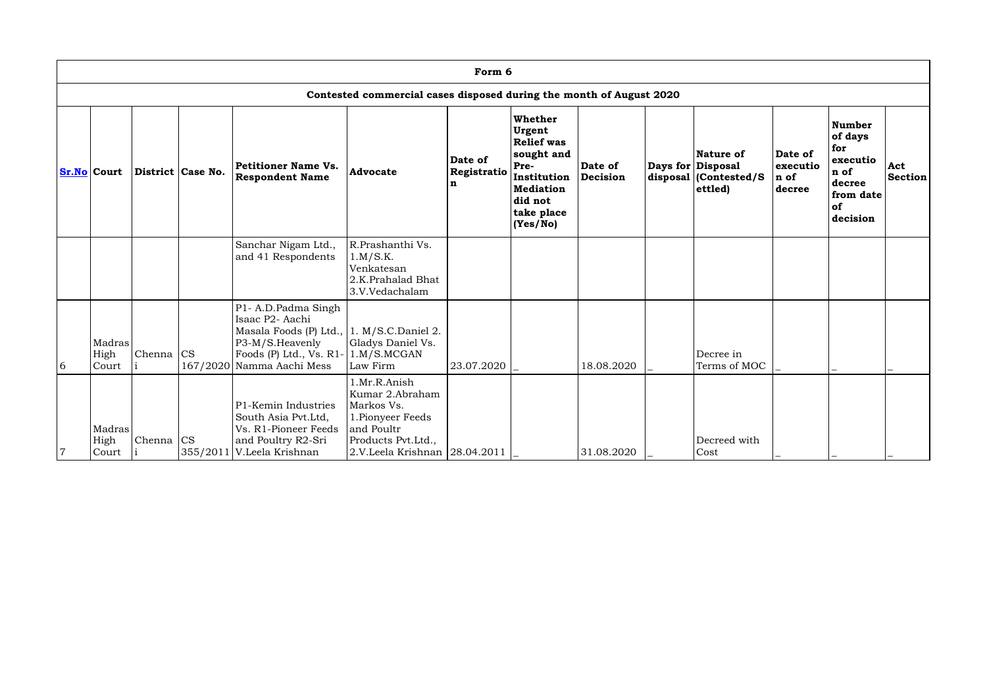|                | Form 6                                                              |                    |                   |                                                                                                                                                         |                                                                                                                                         |                             |                                                                                                                                      |                     |  |                                                                     |                                       |                                                                                              |                       |
|----------------|---------------------------------------------------------------------|--------------------|-------------------|---------------------------------------------------------------------------------------------------------------------------------------------------------|-----------------------------------------------------------------------------------------------------------------------------------------|-----------------------------|--------------------------------------------------------------------------------------------------------------------------------------|---------------------|--|---------------------------------------------------------------------|---------------------------------------|----------------------------------------------------------------------------------------------|-----------------------|
|                | Contested commercial cases disposed during the month of August 2020 |                    |                   |                                                                                                                                                         |                                                                                                                                         |                             |                                                                                                                                      |                     |  |                                                                     |                                       |                                                                                              |                       |
|                | <b>Sr.No Court</b>                                                  |                    | District Case No. | <b>Petitioner Name Vs.</b><br><b>Respondent Name</b>                                                                                                    | <b>Advocate</b>                                                                                                                         | Date of<br>Registratio<br>n | Whether<br>Urgent<br><b>Relief was</b><br>sought and<br>Pre-<br>Institution<br><b>Mediation</b><br>did not<br>take place<br>(Yes/No) | Date of<br>Decision |  | Nature of<br>Days for Disposal<br>disposal (Contested/S)<br>ettled) | Date of<br>executio<br>n of<br>decree | Number<br>of days<br>for<br>executio<br>n of<br>decree<br>from date<br><b>of</b><br>decision | Act<br><b>Section</b> |
|                |                                                                     |                    |                   | Sanchar Nigam Ltd.,<br>and 41 Respondents                                                                                                               | R.Prashanthi Vs.<br>1.M/S.K.<br>Venkatesan<br>2.K.Prahalad Bhat<br>3.V.Vedachalam                                                       |                             |                                                                                                                                      |                     |  |                                                                     |                                       |                                                                                              |                       |
| 6              | Madras<br>High<br>Court                                             | Chenna $\text{CS}$ | 167/2020          | P1- A.D.Padma Singh<br>Isaac P2- Aachi<br>Masala Foods (P) Ltd., 1. M/S.C.Daniel 2.<br>P3-M/S.Heavenly<br>Foods $(P)$ Ltd., Vs. R1-<br>Namma Aachi Mess | Gladys Daniel Vs.<br>1.M/S.MCGAN<br>Law Firm                                                                                            | 23.07.2020                  |                                                                                                                                      | 18.08.2020          |  | Decree in<br>Terms of MOC                                           |                                       |                                                                                              |                       |
| $\overline{7}$ | Madras<br>High<br>Court                                             | Chenna $\text{CS}$ |                   | P1-Kemin Industries<br>South Asia Pvt.Ltd,<br>Vs. R1-Pioneer Feeds<br>and Poultry R2-Sri<br>355/2011 V.Leela Krishnan                                   | 1.Mr.R.Anish<br>Kumar 2.Abraham<br>Markos Vs.<br>1. Pionyeer Feeds<br>and Poultr<br>Products Pvt.Ltd.,<br>2.V.Leela Krishnan 28.04.2011 |                             |                                                                                                                                      | 31.08.2020          |  | Decreed with<br>Cost                                                |                                       |                                                                                              |                       |